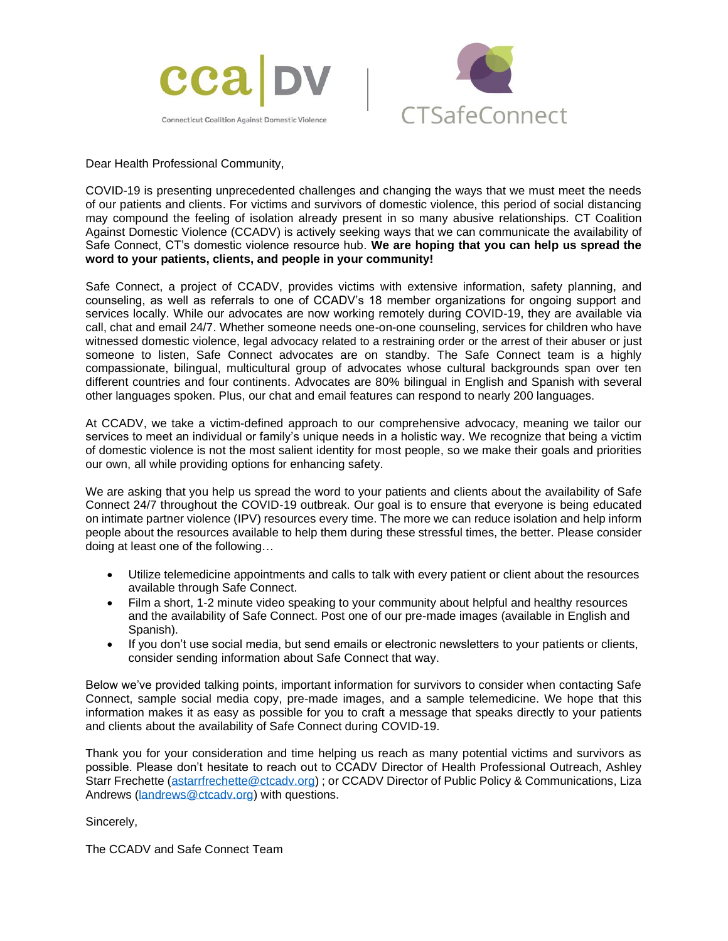



Dear Health Professional Community,

COVID-19 is presenting unprecedented challenges and changing the ways that we must meet the needs of our patients and clients. For victims and survivors of domestic violence, this period of social distancing may compound the feeling of isolation already present in so many abusive relationships. CT Coalition Against Domestic Violence (CCADV) is actively seeking ways that we can communicate the availability of Safe Connect, CT's domestic violence resource hub. **We are hoping that you can help us spread the word to your patients, clients, and people in your community!**

Safe Connect, a project of CCADV, provides victims with extensive information, safety planning, and counseling, as well as referrals to one of CCADV's 18 member organizations for ongoing support and services locally. While our advocates are now working remotely during COVID-19, they are available via call, chat and email 24/7. Whether someone needs one-on-one counseling, services for children who have witnessed domestic violence, legal advocacy related to a restraining order or the arrest of their abuser or just someone to listen, Safe Connect advocates are on standby. The Safe Connect team is a highly compassionate, bilingual, multicultural group of advocates whose cultural backgrounds span over ten different countries and four continents. Advocates are 80% bilingual in English and Spanish with several other languages spoken. Plus, our chat and email features can respond to nearly 200 languages.

At CCADV, we take a victim-defined approach to our comprehensive advocacy, meaning we tailor our services to meet an individual or family's unique needs in a holistic way. We recognize that being a victim of domestic violence is not the most salient identity for most people, so we make their goals and priorities our own, all while providing options for enhancing safety.

We are asking that you help us spread the word to your patients and clients about the availability of Safe Connect 24/7 throughout the COVID-19 outbreak. Our goal is to ensure that everyone is being educated on intimate partner violence (IPV) resources every time. The more we can reduce isolation and help inform people about the resources available to help them during these stressful times, the better. Please consider doing at least one of the following…

- Utilize telemedicine appointments and calls to talk with every patient or client about the resources available through Safe Connect.
- Film a short, 1-2 minute video speaking to your community about helpful and healthy resources and the availability of Safe Connect. Post one of our pre-made images (available in English and Spanish).
- If you don't use social media, but send emails or electronic newsletters to your patients or clients, consider sending information about Safe Connect that way.

Below we've provided talking points, important information for survivors to consider when contacting Safe Connect, sample social media copy, pre-made images, and a sample telemedicine. We hope that this information makes it as easy as possible for you to craft a message that speaks directly to your patients and clients about the availability of Safe Connect during COVID-19.

Thank you for your consideration and time helping us reach as many potential victims and survivors as possible. Please don't hesitate to reach out to CCADV Director of Health Professional Outreach, Ashley Starr Frechette [\(astarrfrechette@ctcadv.org\)](mailto:astarrfrechette@ctcadv.org) ; or CCADV Director of Public Policy & Communications, Liza Andrews [\(landrews@ctcadv.org\)](mailto:landrews@ctcadv.org) with questions.

Sincerely,

The CCADV and Safe Connect Team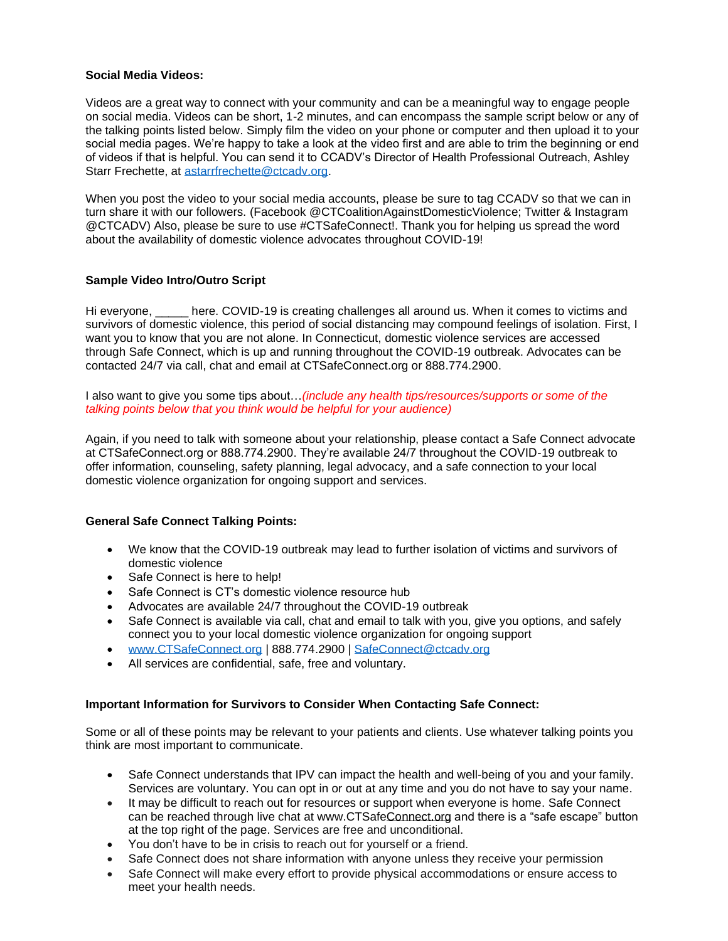## **Social Media Videos:**

Videos are a great way to connect with your community and can be a meaningful way to engage people on social media. Videos can be short, 1-2 minutes, and can encompass the sample script below or any of the talking points listed below. Simply film the video on your phone or computer and then upload it to your social media pages. We're happy to take a look at the video first and are able to trim the beginning or end of videos if that is helpful. You can send it to CCADV's Director of Health Professional Outreach, Ashley Starr Frechette, at [astarrfrechette@ctcadv.org.](mailto:astarrfrechette@ctcadv.org)

When you post the video to your social media accounts, please be sure to tag CCADV so that we can in turn share it with our followers. (Facebook @CTCoalitionAgainstDomesticViolence; Twitter & Instagram @CTCADV) Also, please be sure to use #CTSafeConnect!. Thank you for helping us spread the word about the availability of domestic violence advocates throughout COVID-19!

## **Sample Video Intro/Outro Script**

Hi everyone, here. COVID-19 is creating challenges all around us. When it comes to victims and survivors of domestic violence, this period of social distancing may compound feelings of isolation. First, I want you to know that you are not alone. In Connecticut, domestic violence services are accessed through Safe Connect, which is up and running throughout the COVID-19 outbreak. Advocates can be contacted 24/7 via call, chat and email at CTSafeConnect.org or 888.774.2900.

I also want to give you some tips about…*(include any health tips/resources/supports or some of the talking points below that you think would be helpful for your audience)*

Again, if you need to talk with someone about your relationship, please contact a Safe Connect advocate at CTSafeConnect.org or 888.774.2900. They're available 24/7 throughout the COVID-19 outbreak to offer information, counseling, safety planning, legal advocacy, and a safe connection to your local domestic violence organization for ongoing support and services.

#### **General Safe Connect Talking Points:**

- We know that the COVID-19 outbreak may lead to further isolation of victims and survivors of domestic violence
- Safe Connect is here to help!
- Safe Connect is CT's domestic violence resource hub
- Advocates are available 24/7 throughout the COVID-19 outbreak
- Safe Connect is available via call, chat and email to talk with you, give you options, and safely connect you to your local domestic violence organization for ongoing support
- [www.CTSafeConnect.org](http://www.ctsafeconnect.org/) | 888.774.2900 | [SafeConnect@ctcadv.org](mailto:SafeConnect@ctcadv.org)
- All services are confidential, safe, free and voluntary.

#### **Important Information for Survivors to Consider When Contacting Safe Connect:**

Some or all of these points may be relevant to your patients and clients. Use whatever talking points you think are most important to communicate.

- Safe Connect understands that IPV can impact the health and well-being of you and your family. Services are voluntary. You can opt in or out at any time and you do not have to say your name.
- It may be difficult to reach out for resources or support when everyone is home. Safe Connect can be reached through live chat at [www.CTSafeConnect.org](http://www.ctsafeconnect.org/) and there is a "safe escape" button at the top right of the page. Services are free and unconditional.
- You don't have to be in crisis to reach out for yourself or a friend.
- Safe Connect does not share information with anyone unless they receive your permission
- Safe Connect will make every effort to provide physical accommodations or ensure access to meet your health needs.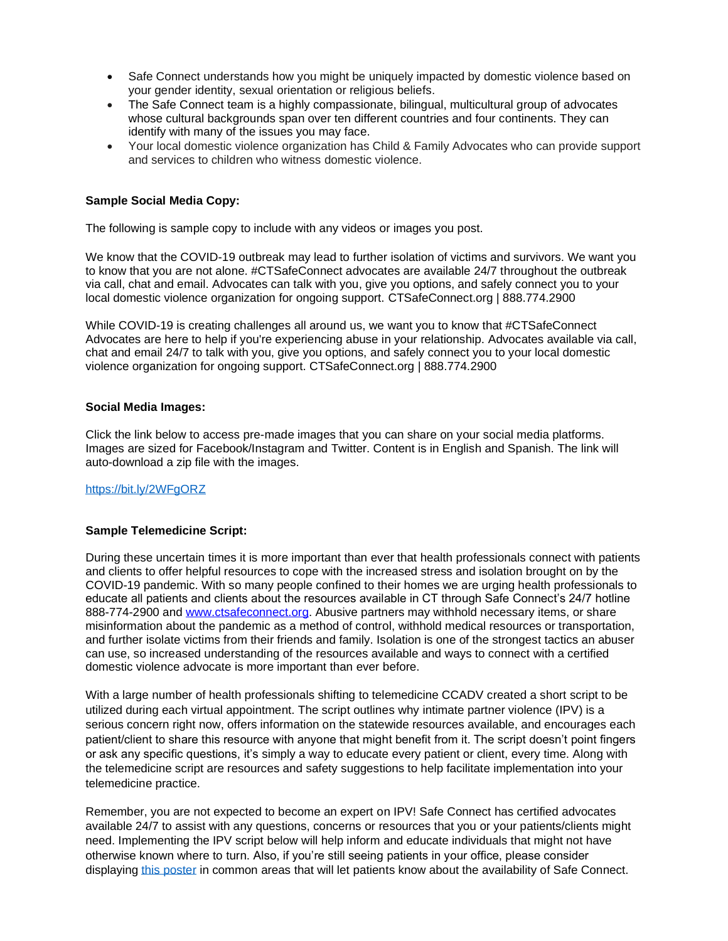- Safe Connect understands how you might be uniquely impacted by domestic violence based on your gender identity, sexual orientation or religious beliefs.
- The Safe Connect team is a highly compassionate, bilingual, multicultural group of advocates whose cultural backgrounds span over ten different countries and four continents. They can identify with many of the issues you may face.
- Your local domestic violence organization has Child & Family Advocates who can provide support and services to children who witness domestic violence.

### **Sample Social Media Copy:**

The following is sample copy to include with any videos or images you post.

We know that the COVID-19 outbreak may lead to further isolation of victims and survivors. We want you to know that you are not alone. #CTSafeConnect advocates are available 24/7 throughout the outbreak via call, chat and email. Advocates can talk with you, give you options, and safely connect you to your local domestic violence organization for ongoing support. CTSafeConnect.org | 888.774.2900

While COVID-19 is creating challenges all around us, we want you to know that #CTSafeConnect Advocates are here to help if you're experiencing abuse in your relationship. Advocates available via call, chat and email 24/7 to talk with you, give you options, and safely connect you to your local domestic violence organization for ongoing support. CTSafeConnect.org | 888.774.2900

#### **Social Media Images:**

Click the link below to access pre-made images that you can share on your social media platforms. Images are sized for Facebook/Instagram and Twitter. Content is in English and Spanish. The link will auto-download a zip file with the images.

#### <https://bit.ly/2WFgORZ>

#### **Sample Telemedicine Script:**

During these uncertain times it is more important than ever that health professionals connect with patients and clients to offer helpful resources to cope with the increased stress and isolation brought on by the COVID-19 pandemic. With so many people confined to their homes we are urging health professionals to educate all patients and clients about the resources available in CT through Safe Connect's 24/7 hotline 888-774-2900 and [www.ctsafeconnect.org.](http://www.ctsafeconnect.org/) Abusive partners may withhold necessary items, or share misinformation about the pandemic as a method of control, withhold medical resources or transportation, and further isolate victims from their friends and family. Isolation is one of the strongest tactics an abuser can use, so increased understanding of the resources available and ways to connect with a certified domestic violence advocate is more important than ever before.

With a large number of health professionals shifting to telemedicine CCADV created a short script to be utilized during each virtual appointment. The script outlines why intimate partner violence (IPV) is a serious concern right now, offers information on the statewide resources available, and encourages each patient/client to share this resource with anyone that might benefit from it. The script doesn't point fingers or ask any specific questions, it's simply a way to educate every patient or client, every time. Along with the telemedicine script are resources and safety suggestions to help facilitate implementation into your telemedicine practice.

Remember, you are not expected to become an expert on IPV! Safe Connect has certified advocates available 24/7 to assist with any questions, concerns or resources that you or your patients/clients might need. Implementing the IPV script below will help inform and educate individuals that might not have otherwise known where to turn. Also, if you're still seeing patients in your office, please consider displaying [this poster](http://www.ctcadv.org/files/3015/8577/2523/Safe_Connect_COVID-19_8.5x11_poster_3.20.pdf) in common areas that will let patients know about the availability of Safe Connect.